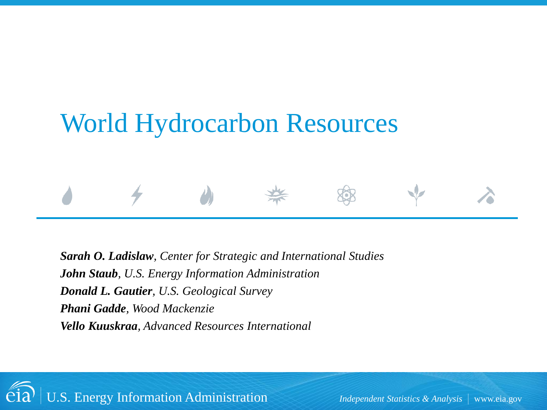# World Hydrocarbon Resources

*Sarah O. Ladislaw, Center for Strategic and International Studies John Staub, U.S. Energy Information Administration Donald L. Gautier, U.S. Geological Survey Phani Gadde, Wood Mackenzie Vello Kuuskraa, Advanced Resources International* 

U.S. Energy Information Administration *Independent Statistics & Analysis* www.eia.gov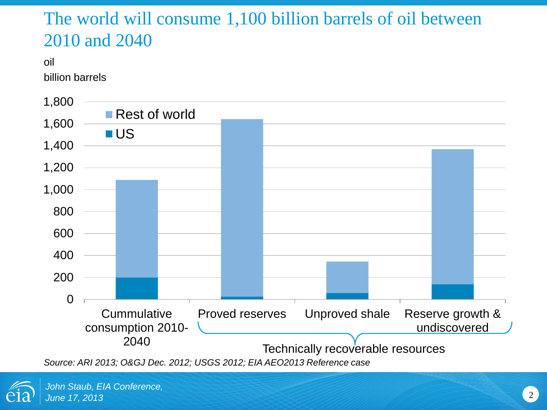### The world will consume 1,100 billion barrels of oil between 2010 and 2040

oil

billion barrels



*Source: ARI 2013; O&GJ Dec. 2012; USGS 2012; EIA AEO2013 Reference case* 

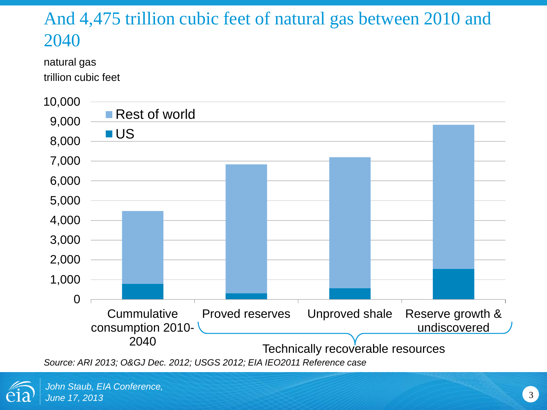## And 4,475 trillion cubic feet of natural gas between 2010 and 2040

natural gas trillion cubic feet



*Source: ARI 2013; O&GJ Dec. 2012; USGS 2012; EIA IEO2011 Reference case* 

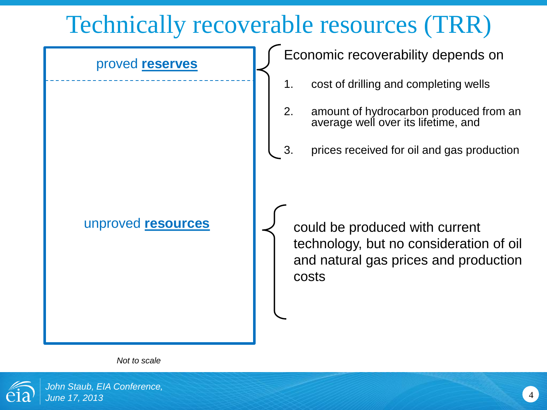## Technically recoverable resources (TRR)



*Not to scale*

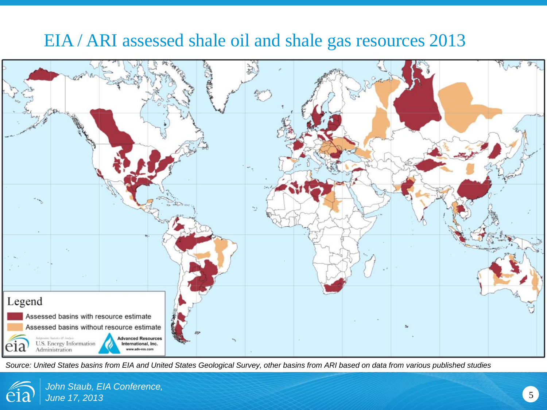#### EIA / ARI assessed shale oil and shale gas resources 2013



*Source: United States basins from EIA and United States Geological Survey, other basins from ARI based on data from various published studies*

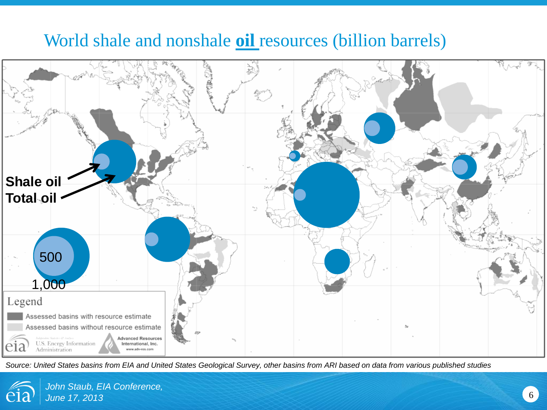#### World shale and nonshale **oil** resources (billion barrels)



*Source: United States basins from EIA and United States Geological Survey, other basins from ARI based on data from various published studies*

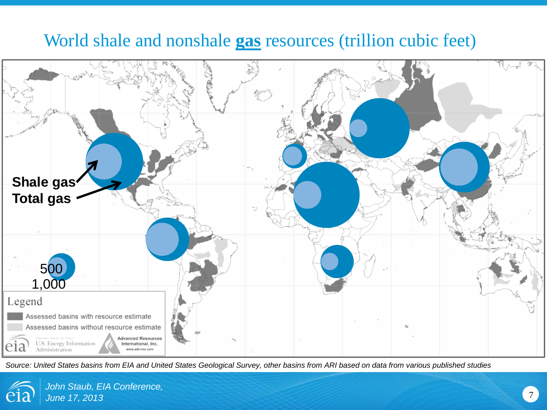#### World shale and nonshale **gas** resources (trillion cubic feet)



*Source: United States basins from EIA and United States Geological Survey, other basins from ARI based on data from various published studies*

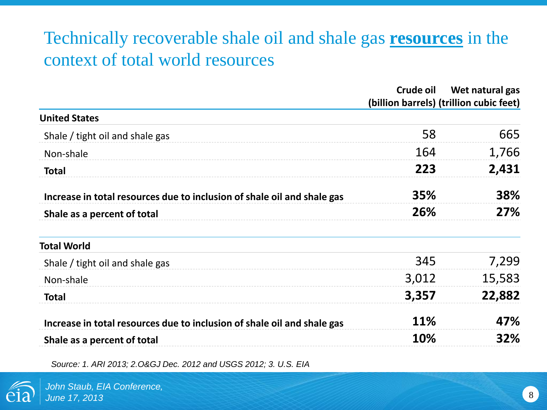## Technically recoverable shale oil and shale gas **resources** in the context of total world resources

|                                                                         | Crude oil  | Wet natural gas<br>(billion barrels) (trillion cubic feet) |
|-------------------------------------------------------------------------|------------|------------------------------------------------------------|
| <b>United States</b>                                                    |            |                                                            |
| Shale / tight oil and shale gas                                         | 58         | 665                                                        |
| Non-shale                                                               | 164        | 1,766                                                      |
| <b>Total</b>                                                            | 223        | 2,431                                                      |
| Increase in total resources due to inclusion of shale oil and shale gas | 35%        | 38%                                                        |
| Shale as a percent of total                                             | 26%        | 27%                                                        |
| <b>Total World</b>                                                      |            |                                                            |
| Shale / tight oil and shale gas                                         | 345        | 7,299                                                      |
| Non-shale                                                               | 3,012      | 15,583                                                     |
| <b>Total</b>                                                            | 3,357      | 22,882                                                     |
| Increase in total resources due to inclusion of shale oil and shale gas | <b>11%</b> | 47%                                                        |
| Shale as a percent of total                                             | 10%        | 32%                                                        |
|                                                                         |            |                                                            |

*Source: 1. ARI 2013; 2.O&GJ Dec. 2012 and USGS 2012; 3. U.S. EIA*